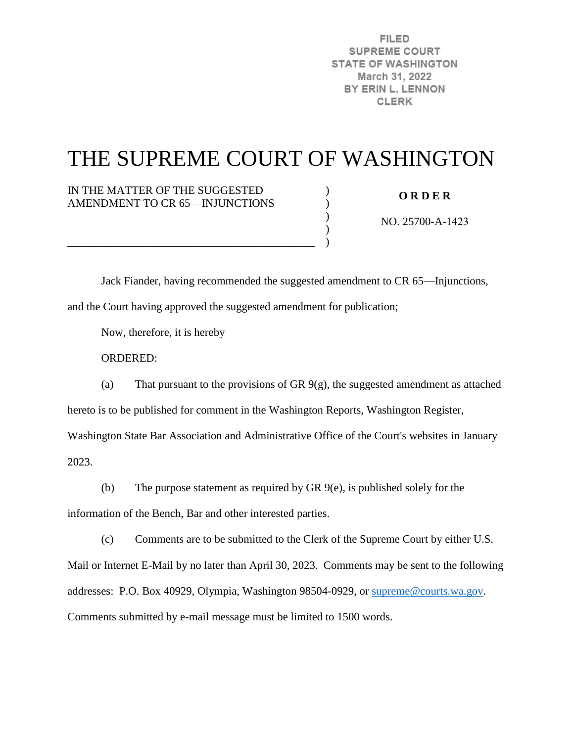**FILED SUPREME COURT STATE OF WASHINGTON** March 31, 2022 BY ERIN L. LENNON **CLERK** 

## THE SUPREME COURT OF WASHINGTON

)  $\lambda$ ) ) )

IN THE MATTER OF THE SUGGESTED AMENDMENT TO CR 65—INJUNCTIONS

\_\_\_\_\_\_\_\_\_\_\_\_\_\_\_\_\_\_\_\_\_\_\_\_\_\_\_\_\_\_\_\_\_\_\_\_\_\_\_\_\_\_\_\_

**O R D E R** 

NO. 25700-A-1423

 Jack Fiander, having recommended the suggested amendment to CR 65—Injunctions, and the Court having approved the suggested amendment for publication;

Now, therefore, it is hereby

ORDERED:

(a) That pursuant to the provisions of GR 9(g), the suggested amendment as attached hereto is to be published for comment in the Washington Reports, Washington Register, Washington State Bar Association and Administrative Office of the Court's websites in January 2023.

(b) The purpose statement as required by GR 9(e), is published solely for the

information of the Bench, Bar and other interested parties.

(c) Comments are to be submitted to the Clerk of the Supreme Court by either U.S.

Mail or Internet E-Mail by no later than April 30, 2023. Comments may be sent to the following addresses: P.O. Box 40929, Olympia, Washington 98504-0929, or [supreme@courts.wa.gov.](mailto:supreme@courts.wa.gov) Comments submitted by e-mail message must be limited to 1500 words.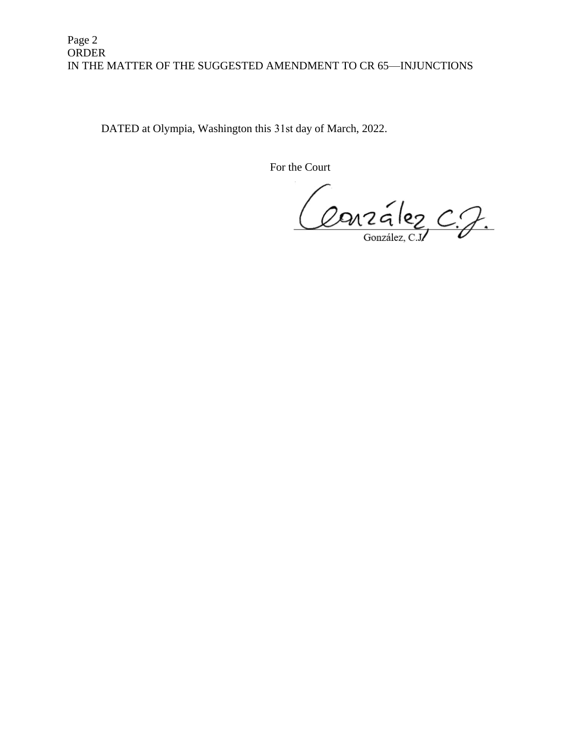## Page 2 ORDER IN THE MATTER OF THE SUGGESTED AMENDMENT TO CR 65—INJUNCTIONS

DATED at Olympia, Washington this 31st day of March, 2022.

For the Court

Conzález C.J.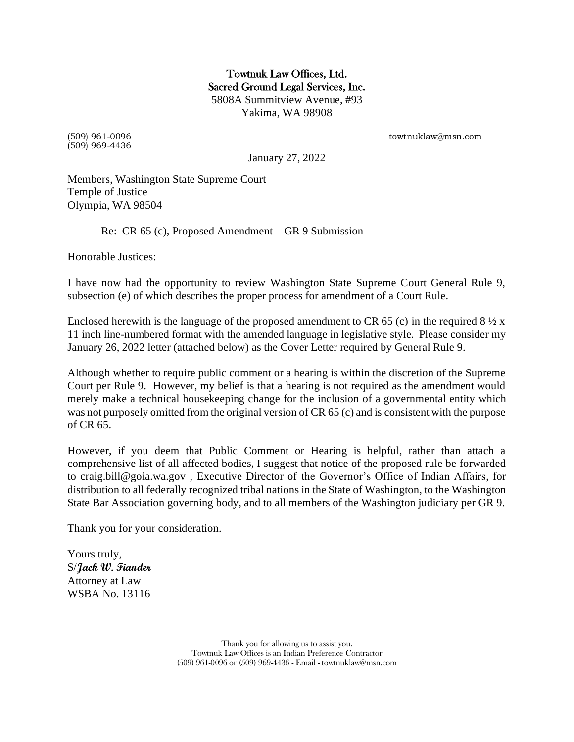Towtnuk Law Offices, Ltd. Sacred Ground Legal Services, Inc. 5808A Summitview Avenue, #93 Yakima, WA 98908

(509) 969-4436

(509) 961-0096 towtnuklaw@msn.com

January 27, 2022

Members, Washington State Supreme Court Temple of Justice Olympia, WA 98504

## Re: CR 65 (c), Proposed Amendment – GR 9 Submission

Honorable Justices:

I have now had the opportunity to review Washington State Supreme Court General Rule 9, subsection (e) of which describes the proper process for amendment of a Court Rule.

Enclosed herewith is the language of the proposed amendment to CR 65 (c) in the required 8  $\frac{1}{2} \times x$ 11 inch line-numbered format with the amended language in legislative style. Please consider my January 26, 2022 letter (attached below) as the Cover Letter required by General Rule 9.

Although whether to require public comment or a hearing is within the discretion of the Supreme Court per Rule 9. However, my belief is that a hearing is not required as the amendment would merely make a technical housekeeping change for the inclusion of a governmental entity which was not purposely omitted from the original version of CR 65 (c) and is consistent with the purpose of CR 65.

However, if you deem that Public Comment or Hearing is helpful, rather than attach a comprehensive list of all affected bodies, I suggest that notice of the proposed rule be forwarded to craig.bill@goia.wa.gov , Executive Director of the Governor's Office of Indian Affairs, for distribution to all federally recognized tribal nations in the State of Washington, to the Washington State Bar Association governing body, and to all members of the Washington judiciary per GR 9.

Thank you for your consideration.

Yours truly, S/**Jack W. Fiander** Attorney at Law WSBA No. 13116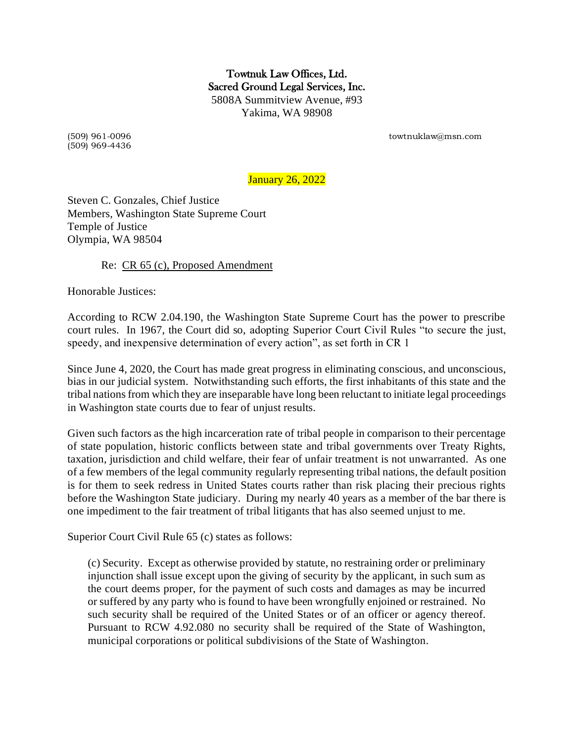Towtnuk Law Offices, Ltd. Sacred Ground Legal Services, Inc. 5808A Summitview Avenue, #93 Yakima, WA 98908

(509) 969-4436

(509) 961-0096 towtnuklaw@msn.com

January 26, 2022

Steven C. Gonzales, Chief Justice Members, Washington State Supreme Court Temple of Justice Olympia, WA 98504

Re: CR 65 (c), Proposed Amendment

Honorable Justices:

According to RCW 2.04.190, the Washington State Supreme Court has the power to prescribe court rules. In 1967, the Court did so, adopting Superior Court Civil Rules "to secure the just, speedy, and inexpensive determination of every action", as set forth in CR 1

Since June 4, 2020, the Court has made great progress in eliminating conscious, and unconscious, bias in our judicial system. Notwithstanding such efforts, the first inhabitants of this state and the tribal nations from which they are inseparable have long been reluctant to initiate legal proceedings in Washington state courts due to fear of unjust results.

Given such factors as the high incarceration rate of tribal people in comparison to their percentage of state population, historic conflicts between state and tribal governments over Treaty Rights, taxation, jurisdiction and child welfare, their fear of unfair treatment is not unwarranted. As one of a few members of the legal community regularly representing tribal nations, the default position is for them to seek redress in United States courts rather than risk placing their precious rights before the Washington State judiciary. During my nearly 40 years as a member of the bar there is one impediment to the fair treatment of tribal litigants that has also seemed unjust to me.

Superior Court Civil Rule 65 (c) states as follows:

(c) Security. Except as otherwise provided by statute, no restraining order or preliminary injunction shall issue except upon the giving of security by the applicant, in such sum as the court deems proper, for the payment of such costs and damages as may be incurred or suffered by any party who is found to have been wrongfully enjoined or restrained. No such security shall be required of the United States or of an officer or agency thereof. Pursuant to RCW 4.92.080 no security shall be required of the State of Washington, municipal corporations or political subdivisions of the State of Washington.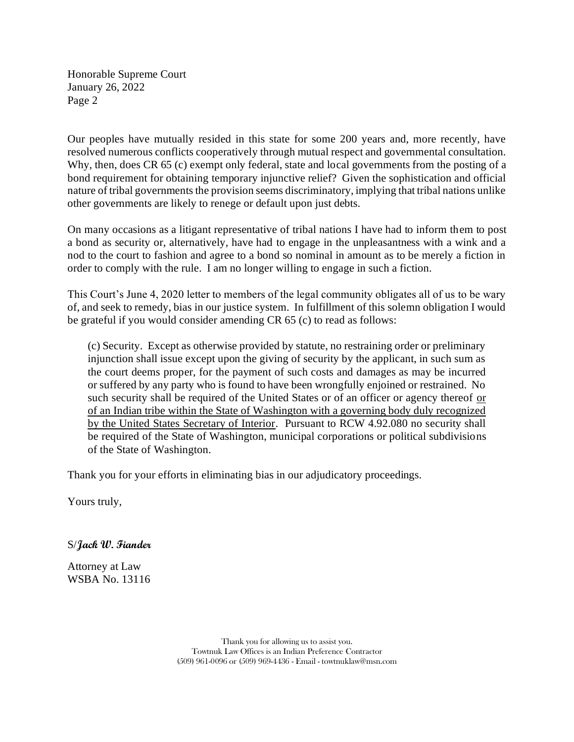Honorable Supreme Court January 26, 2022 Page 2

Our peoples have mutually resided in this state for some 200 years and, more recently, have resolved numerous conflicts cooperatively through mutual respect and governmental consultation. Why, then, does CR 65 (c) exempt only federal, state and local governments from the posting of a bond requirement for obtaining temporary injunctive relief? Given the sophistication and official nature of tribal governments the provision seems discriminatory, implying that tribal nations unlike other governments are likely to renege or default upon just debts.

On many occasions as a litigant representative of tribal nations I have had to inform them to post a bond as security or, alternatively, have had to engage in the unpleasantness with a wink and a nod to the court to fashion and agree to a bond so nominal in amount as to be merely a fiction in order to comply with the rule. I am no longer willing to engage in such a fiction.

This Court's June 4, 2020 letter to members of the legal community obligates all of us to be wary of, and seek to remedy, bias in our justice system. In fulfillment of this solemn obligation I would be grateful if you would consider amending CR 65 (c) to read as follows:

(c) Security. Except as otherwise provided by statute, no restraining order or preliminary injunction shall issue except upon the giving of security by the applicant, in such sum as the court deems proper, for the payment of such costs and damages as may be incurred or suffered by any party who is found to have been wrongfully enjoined or restrained. No such security shall be required of the United States or of an officer or agency thereof or of an Indian tribe within the State of Washington with a governing body duly recognized by the United States Secretary of Interior. Pursuant to RCW 4.92.080 no security shall be required of the State of Washington, municipal corporations or political subdivisions of the State of Washington.

Thank you for your efforts in eliminating bias in our adjudicatory proceedings.

Yours truly,

S/**Jack W. Fiander**

Attorney at Law WSBA No. 13116

> Thank you for allowing us to assist you. Towtnuk Law Offices is an Indian Preference Contractor (509) 961-0096 or (509) 969-4436 - Email - towtnuklaw@msn.com